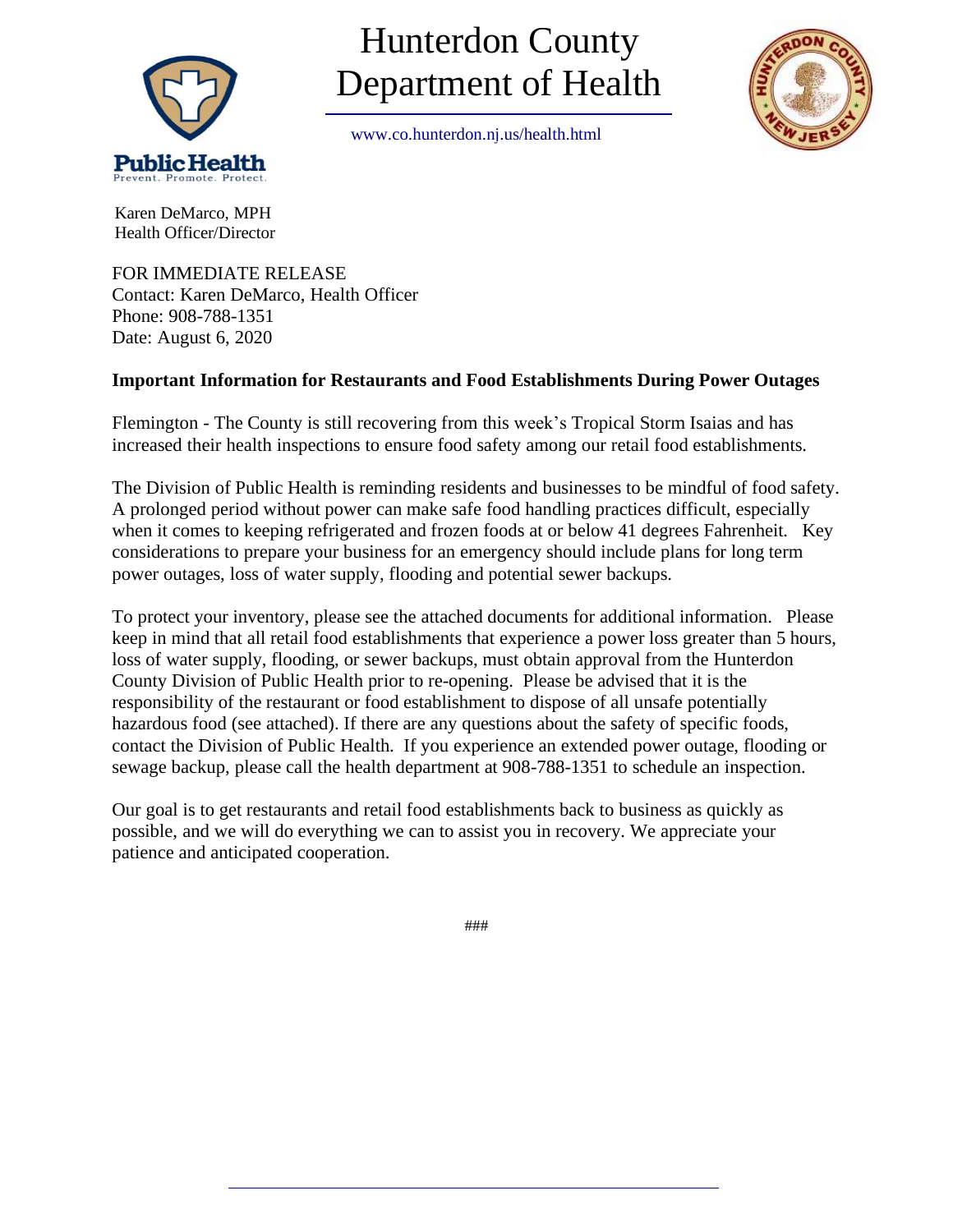

# Hunterdon County Department of Health

[www.co.hunterdon.nj.us/health.html](http://www.co.hunterdon.nj.us/health.htm)



 Karen DeMarco, MPH Health Officer/Director

FOR IMMEDIATE RELEASE Contact: Karen DeMarco, Health Officer Phone: 908-788-1351 Date: August 6, 2020

# **Important Information for Restaurants and Food Establishments During Power Outages**

Flemington - The County is still recovering from this week's Tropical Storm Isaias and has increased their health inspections to ensure food safety among our retail food establishments.

The Division of Public Health is reminding residents and businesses to be mindful of food safety. A prolonged period without power can make safe food handling practices difficult, especially when it comes to keeping refrigerated and frozen foods at or below 41 degrees Fahrenheit. Key considerations to prepare your business for an emergency should include plans for long term power outages, loss of water supply, flooding and potential sewer backups.

To protect your inventory, please see the attached documents for additional information. Please keep in mind that all retail food establishments that experience a power loss greater than 5 hours, loss of water supply, flooding, or sewer backups, must obtain approval from the Hunterdon County Division of Public Health prior to re-opening. Please be advised that it is the responsibility of the restaurant or food establishment to dispose of all unsafe potentially hazardous food (see attached). If there are any questions about the safety of specific foods, contact the Division of Public Health. If you experience an extended power outage, flooding or sewage backup, please call the health department at 908-788-1351 to schedule an inspection.

Our goal is to get restaurants and retail food establishments back to business as quickly as possible, and we will do everything we can to assist you in recovery. We appreciate your patience and anticipated cooperation.

###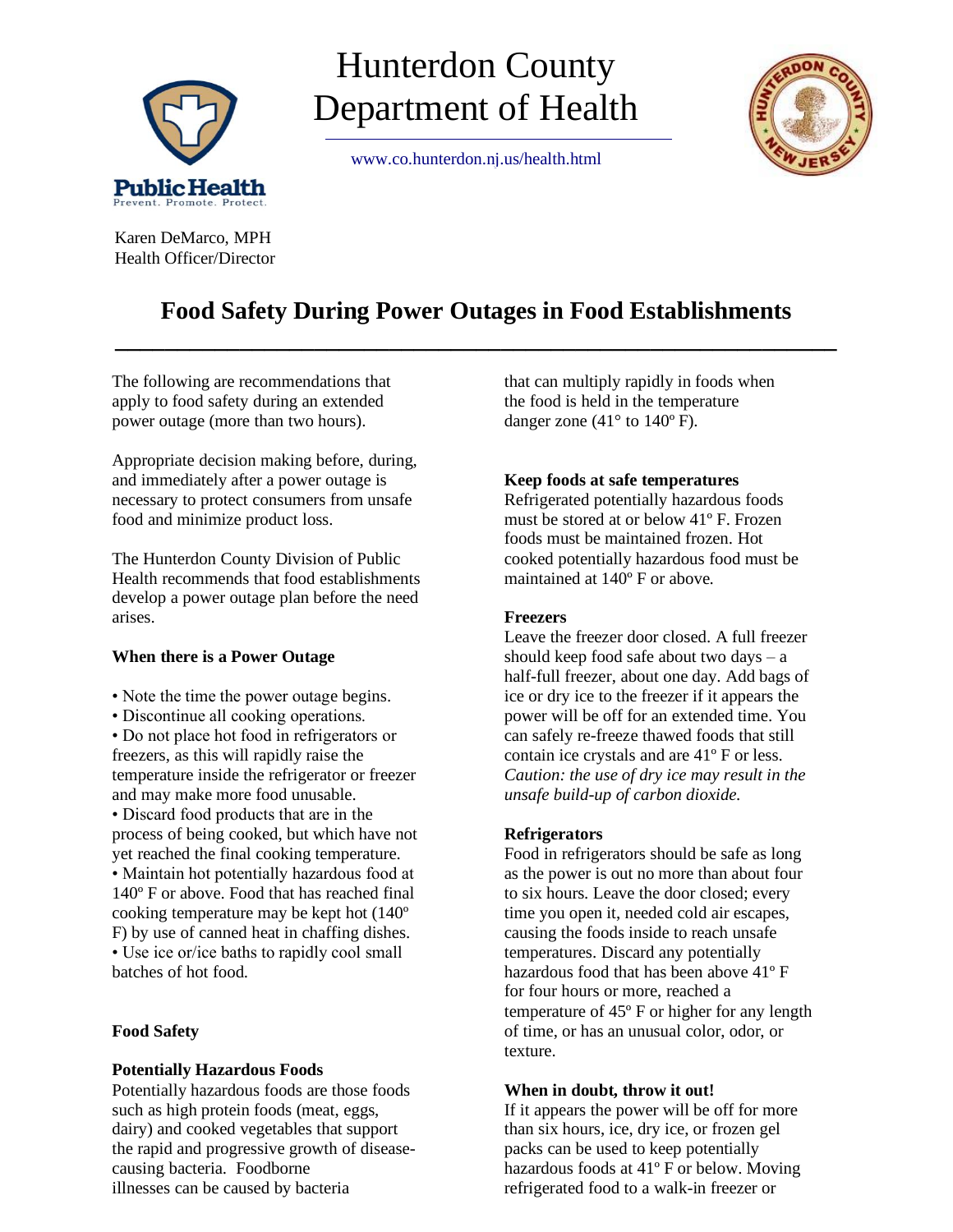

# Hunterdon County Department of Health

[www.co.hunterdon.nj.us/health.html](http://www.co.hunterdon.nj.us/health.htm)



 Karen DeMarco, MPH Health Officer/Director

# **Food Safety During Power Outages in Food Establishments \_\_\_\_\_\_\_\_\_\_\_\_\_\_\_\_\_\_\_\_\_\_\_\_\_\_\_\_\_\_\_\_\_\_\_\_\_\_\_\_\_\_\_\_\_\_\_\_\_\_\_\_\_\_\_\_\_\_**

The following are recommendations that apply to food safety during an extended power outage (more than two hours).

Appropriate decision making before, during, and immediately after a power outage is necessary to protect consumers from unsafe food and minimize product loss.

The Hunterdon County Division of Public Health recommends that food establishments develop a power outage plan before the need arises.

# **When there is a Power Outage**

- Note the time the power outage begins.
- Discontinue all cooking operations.

• Do not place hot food in refrigerators or freezers, as this will rapidly raise the temperature inside the refrigerator or freezer and may make more food unusable. • Discard food products that are in the

process of being cooked, but which have not yet reached the final cooking temperature. • Maintain hot potentially hazardous food at 140º F or above. Food that has reached final cooking temperature may be kept hot (140º F) by use of canned heat in chaffing dishes. • Use ice or/ice baths to rapidly cool small batches of hot food.

# **Food Safety**

### **Potentially Hazardous Foods**

Potentially hazardous foods are those foods such as high protein foods (meat, eggs, dairy) and cooked vegetables that support the rapid and progressive growth of diseasecausing bacteria. Foodborne illnesses can be caused by bacteria

that can multiply rapidly in foods when the food is held in the temperature danger zone  $(41^{\circ}$  to  $140^{\circ}$  F).

### **Keep foods at safe temperatures**

Refrigerated potentially hazardous foods must be stored at or below 41º F. Frozen foods must be maintained frozen. Hot cooked potentially hazardous food must be maintained at 140º F or above.

### **Freezers**

Leave the freezer door closed. A full freezer should keep food safe about two days  $-$  a half-full freezer, about one day. Add bags of ice or dry ice to the freezer if it appears the power will be off for an extended time. You can safely re-freeze thawed foods that still contain ice crystals and are 41º F or less. *Caution: the use of dry ice may result in the unsafe build-up of carbon dioxide.*

# **Refrigerators**

Food in refrigerators should be safe as long as the power is out no more than about four to six hours. Leave the door closed; every time you open it, needed cold air escapes, causing the foods inside to reach unsafe temperatures. Discard any potentially hazardous food that has been above 41º F for four hours or more, reached a temperature of 45º F or higher for any length of time, or has an unusual color, odor, or texture.

### **When in doubt, throw it out!**

If it appears the power will be off for more than six hours, ice, dry ice, or frozen gel packs can be used to keep potentially hazardous foods at 41º F or below. Moving refrigerated food to a walk-in freezer or